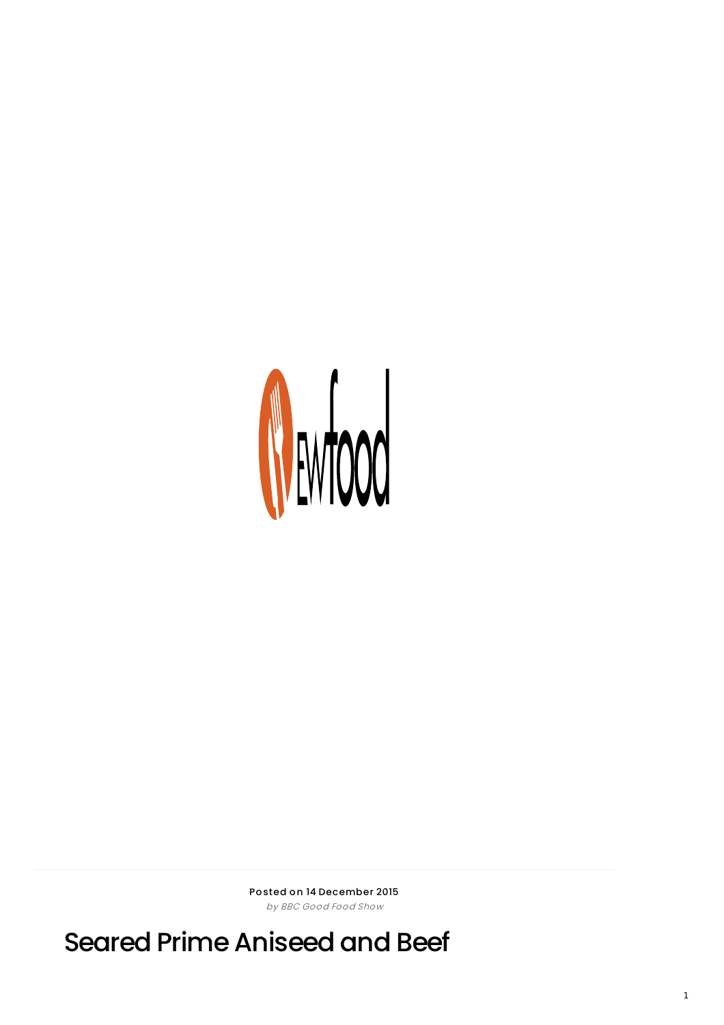

Posted on 14 December 2015 by BBC Good Food Show

Seared Prime Aniseed and Beef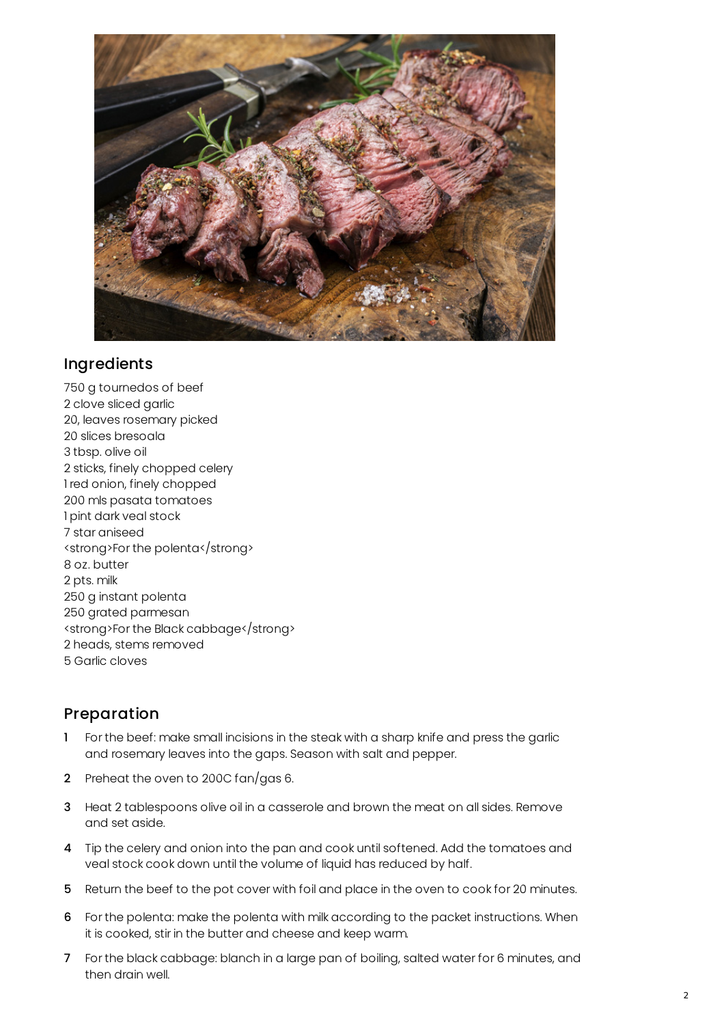

## Ingredients

 g tournedos of beef clove sliced garlic 20, leaves rosemary picked slices bresoala tbsp. olive oil sticks, finely chopped celery red onion, finely chopped mls pasata tomatoes pint dark veal stock star aniseed <strong>For the polenta</strong> oz. butter pts. milk g instant polenta grated parmesan <strong>For the Black cabbage</strong> heads, stems removed Garlic cloves

## Preparation

- 1 For the beef: make small incisions in the steak with a sharp knife and press the garlic and rosemary leaves into the gaps. Season with salt and pepper.
- 2 Preheat the oven to 200C fan/gas 6.
- Heat 2 tablespoons olive oil in a casserole and brown the meat on all sides. Remove and set aside.
- Tip the celery and onion into the pan and cook until softened. Add the tomatoes and veal stock cook down until the volume of liquid has reduced by half.
- Return the beef to the pot cover with foil and place in the oven to cook for 20 minutes.
- For the polenta: make the polenta with milk according to the packet instructions. When it is cooked, stir in the butter and cheese and keep warm.
- For the black cabbage: blanch in a large pan of boiling, salted water for 6 minutes, and then drain well.